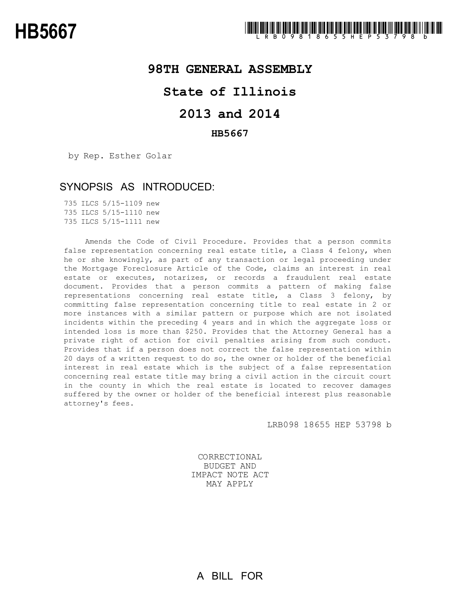## **98TH GENERAL ASSEMBLY**

# **State of Illinois**

# **2013 and 2014**

### **HB5667**

by Rep. Esther Golar

### SYNOPSIS AS INTRODUCED:

735 ILCS 5/15-1109 new 735 ILCS 5/15-1110 new 735 ILCS 5/15-1111 new

Amends the Code of Civil Procedure. Provides that a person commits false representation concerning real estate title, a Class 4 felony, when he or she knowingly, as part of any transaction or legal proceeding under the Mortgage Foreclosure Article of the Code, claims an interest in real estate or executes, notarizes, or records a fraudulent real estate document. Provides that a person commits a pattern of making false representations concerning real estate title, a Class 3 felony, by committing false representation concerning title to real estate in 2 or more instances with a similar pattern or purpose which are not isolated incidents within the preceding 4 years and in which the aggregate loss or intended loss is more than \$250. Provides that the Attorney General has a private right of action for civil penalties arising from such conduct. Provides that if a person does not correct the false representation within 20 days of a written request to do so, the owner or holder of the beneficial interest in real estate which is the subject of a false representation concerning real estate title may bring a civil action in the circuit court in the county in which the real estate is located to recover damages suffered by the owner or holder of the beneficial interest plus reasonable attorney's fees.

LRB098 18655 HEP 53798 b

CORRECTIONAL BUDGET AND IMPACT NOTE ACT MAY APPLY

A BILL FOR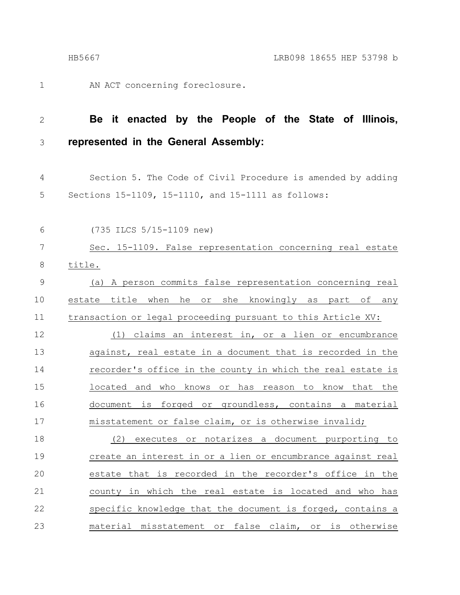1

AN ACT concerning foreclosure.

#### **Be it enacted by the People of the State of Illinois, represented in the General Assembly:** 2 3

Section 5. The Code of Civil Procedure is amended by adding Sections 15-1109, 15-1110, and 15-1111 as follows: 4 5

(735 ILCS 5/15-1109 new) 6

Sec. 15-1109. False representation concerning real estate title. 7 8

(a) A person commits false representation concerning real estate title when he or she knowingly as part of any transaction or legal proceeding pursuant to this Article XV: 9 10 11

(1) claims an interest in, or a lien or encumbrance against, real estate in a document that is recorded in the recorder's office in the county in which the real estate is located and who knows or has reason to know that the document is forged or groundless, contains a material misstatement or false claim, or is otherwise invalid; 12 13 14 15 16 17

(2) executes or notarizes a document purporting to create an interest in or a lien or encumbrance against real estate that is recorded in the recorder's office in the county in which the real estate is located and who has specific knowledge that the document is forged, contains a material misstatement or false claim, or is otherwise 18 19 20 21 22 23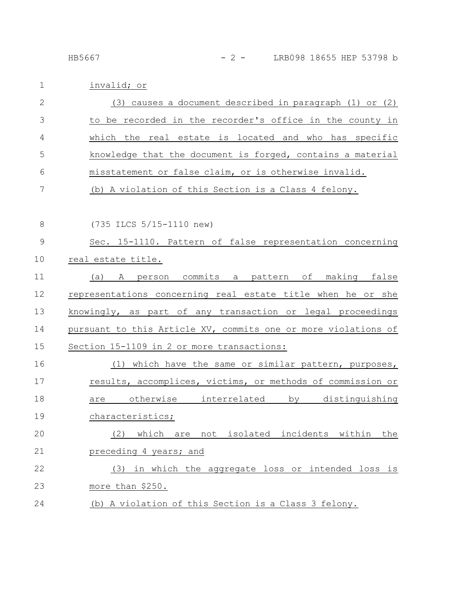### HB5667 - 2 - LRB098 18655 HEP 53798 b

| $\mathbf 1$  | invalid; or                                                    |
|--------------|----------------------------------------------------------------|
| $\mathbf{2}$ | $(3)$ causes a document described in paragraph $(1)$ or $(2)$  |
| 3            | to be recorded in the recorder's office in the county in       |
| 4            | which the real estate is located and who has specific          |
| 5            | knowledge that the document is forged, contains a material     |
| 6            | misstatement or false claim, or is otherwise invalid.          |
| 7            | (b) A violation of this Section is a Class 4 felony.           |
| 8            | (735 ILCS 5/15-1110 new)                                       |
| $\mathsf 9$  | Sec. 15-1110. Pattern of false representation concerning       |
| 10           | real estate title.                                             |
| 11           | A person commits a pattern of making false<br>(a)              |
| 12           | representations concerning real estate title when he or she    |
| 13           | knowingly, as part of any transaction or legal proceedings     |
| 14           | pursuant to this Article XV, commits one or more violations of |
| 15           | Section 15-1109 in 2 or more transactions:                     |
| 16           | (1) which have the same or similar pattern, purposes,          |
| 17           | results, accomplices, victims, or methods of commission or     |
| 18           | otherwise interrelated<br>by distinguishing<br>are             |
| 19           | characteristics;                                               |
| 20           | which are not isolated incidents within<br>(2)<br>the          |
| 21           | preceding 4 years; and                                         |
| 22           | (3) in which the aggregate loss or intended loss is            |
| 23           | more than \$250.                                               |
| 24           | (b) A violation of this Section is a Class 3 felony.           |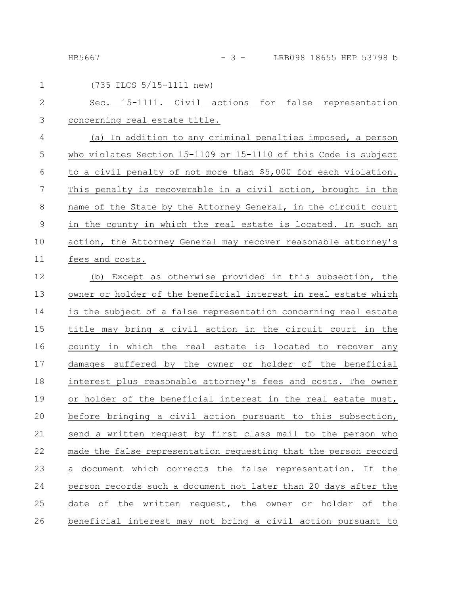HB5667 - 3 - LRB098 18655 HEP 53798 b

| $\mathbf 1$    | (735 ILCS 5/15-1111 new)                                        |
|----------------|-----------------------------------------------------------------|
| $\mathbf{2}$   | Sec. 15-1111. Civil actions for false representation            |
| 3              | concerning real estate title.                                   |
| 4              | (a) In addition to any criminal penalties imposed, a person     |
| 5              | who violates Section 15-1109 or 15-1110 of this Code is subject |
| 6              | to a civil penalty of not more than \$5,000 for each violation. |
| $\overline{7}$ | This penalty is recoverable in a civil action, brought in the   |
| 8              | name of the State by the Attorney General, in the circuit court |
| $\mathcal{G}$  | in the county in which the real estate is located. In such an   |
| 10             | action, the Attorney General may recover reasonable attorney's  |
| 11             | fees and costs.                                                 |
| 12             | (b) Except as otherwise provided in this subsection, the        |
| 13             | owner or holder of the beneficial interest in real estate which |
| 14             | is the subject of a false representation concerning real estate |
| 15             | title may bring a civil action in the circuit court in the      |
| 16             | county in which the real estate is located to recover any       |
| 17             | damages suffered by the owner or holder of the beneficial       |
| 18             | interest plus reasonable attorney's fees and costs. The owner   |
| 19             | or holder of the beneficial interest in the real estate must,   |
| 20             | before bringing a civil action pursuant to this subsection,     |
| 21             | send a written request by first class mail to the person who    |
| 22             | made the false representation requesting that the person record |
| 23             | a document which corrects the false representation. If the      |
| 24             | person records such a document not later than 20 days after the |
| 25             | date of the written request, the owner or holder of the         |
| 26             | beneficial interest may not bring a civil action pursuant to    |